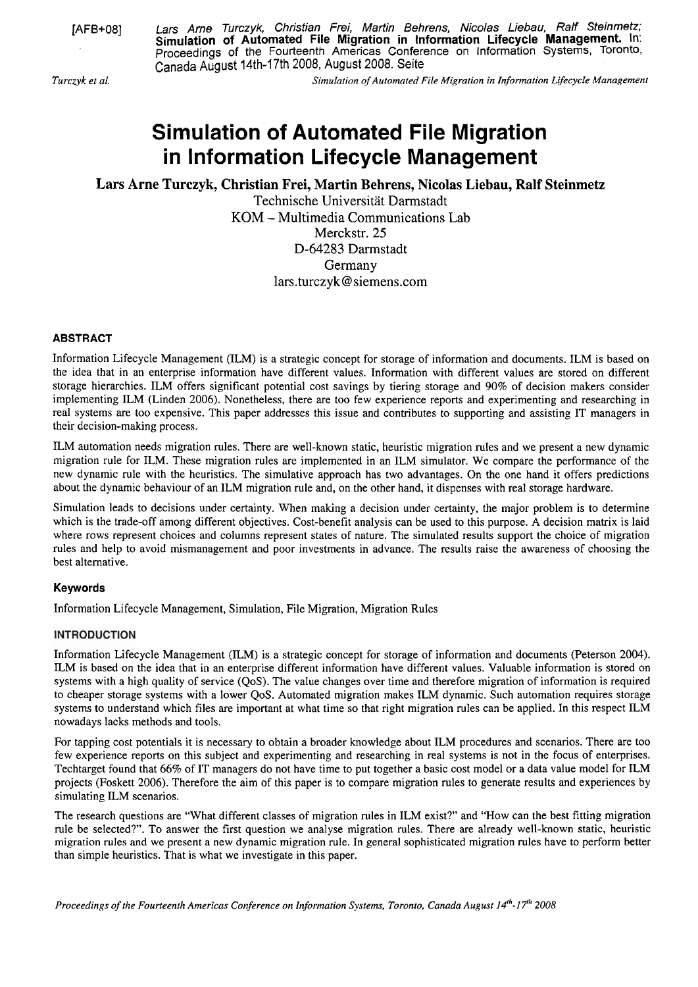[AFB+08] Lars Arne Turczyk, Christian Frei, Martin Behrens, Nicolas Liebau, Ralf Steinmetz; **Simulation of Automated File Migration in lnformation Lifecycle Management.** In: Proceedings of the Fourteenth Americas Conference on Information Systems, Toronto, Canada August 14th-17th 2008, August 2008. Seite

*Turczyk et al. Simulation of Automa~ed File Migration in Informarion Lifecycle Management* 

# **Simulation of Automated File Migration in lnformation Lifecycle Management**

**Lars Arne Turczyk, Christian Frei, Martin Behrens, Nicolas Liebau, Ralf Steinmetz** 

Technische Universität Darmstadt KOM - Multimedia Communications Lab Merckstr. 25 D-64283 Darmstadt Germany lars. turczyk@ siemens.com

# **ABSTRACT**

Information Lifecycle Management (ILM) is a strategic concept for storage of information and documents. ILM is based on the idea that in an enterprise information have different values. Information with different values are stored on different storage hierarchies. ILM offers significant potential cost savings by tiering storage and 90% of decision makers consider implementing ILM (Linden 2006). Nonetheless, there are too few experience reports and experimenting and researching in real systems are too expensive. This paper addresses this issue and contributes to supporting and assisting IT managers in their decision-making process.

ILM automation needs migration rules. There are well-known static, heuristic migration rules and we present a new dynamic migration rule for ILM. These migration rules are implemented in an ILM simulator. We compare the performance of the new dynamic rule with the heuristics. The simulative approach has two advantages. On the one hand it offers predictions about the dynamic behaviour of an ILM migration rule and, on the other hand, it dispenses with real storage hardware.

Simulation leads to decisions under certainty. When making a decision under certainty, the major problem is to determine which is the trade-off among different objectives. Cost-benefit analysis can be used to this purpose. **A** decision matrix is laid where rows represent choices and columns represent states of nature. The simulated results support the choice of migration rules and help to avoid mismanagement and poor investments in advance. The results raise the awareness of choosing the best alternative.

# **Keywords**

Information Lifecycle Management, Simulation, File Migration, Migration Rules

# **INTRODUCTION**

Information Lifecycle Management (ILM) is a strategic concept for storage of information and documents (Peterson 2004). ILM is based on the idea that in an enterprise different information have different values. Valuable information is stored on systems with a high quality of service (QoS). The value changes over time and therefore migration of information is required to cheaper storage systems with a lower QoS. Automated migration makes ILM dynamic. Such automation requires storage systems to understand which files are important at what time so that right migration rules can be applied. In this respect ILM nowadays lacks methods and tools.

For tapping cost potentials it is necessary to obtain a broader knowledge about ILM procedures and scenarios. There are too few experience reports on this subject and experimenting and researching in real systems is not in the focus of enterprises. Techtarget found that 66% of IT managers do not have time to put together a basic cost model or a data value model for ILM projects (Foskett 2006). Therefore the aim of this paper is to compare migration rules to generate results and experiences by simulating ILM scenarios.

The research questions are "What different classes of migration rules in ILM exist?" and "How can the best fitting migration rule be selected?". To answer the first question we analyse migration rules. There are already well-known static, heuristic migration rules and we present a new dynarnic migration rule. In general sophisticated migration rules have to perform better than simple heuristics. That is what we investigate in this paper.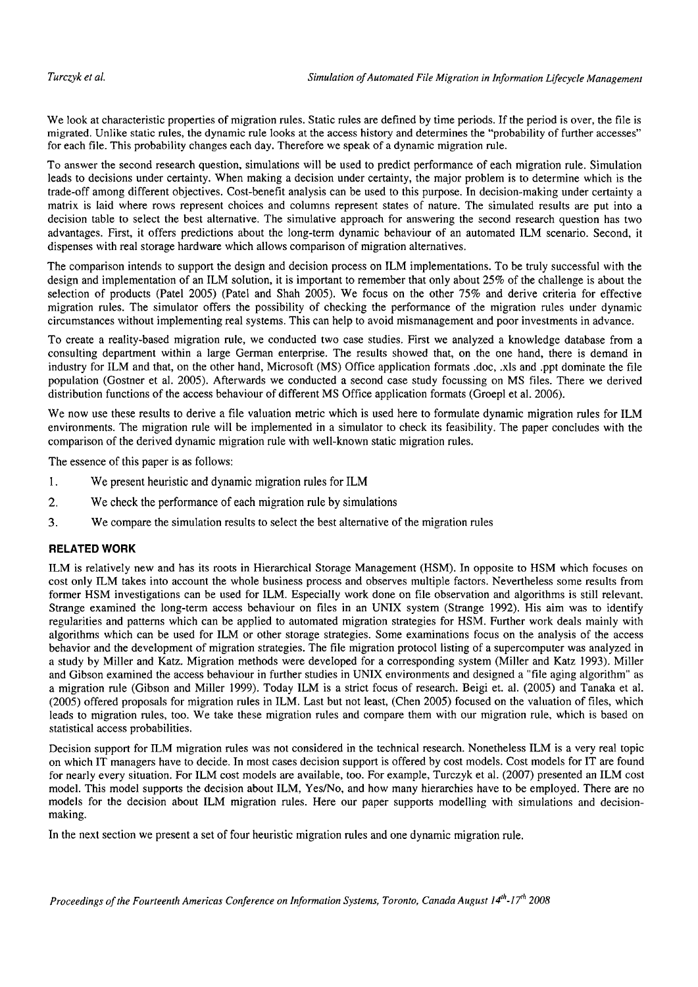We look at characteristic properties of migration rules. Static rules are defined by time periods. If the period is over, the file is migrated. Unlike static rules, the dynamic rule looks at the access history and determines the "probability of further accesses" for each file. This probability changes each day. Therefore we speak of a dynamic migration rule.

To answer the second research question, simulations will be used to predict performance of each migration rule. Simulation leads to decisions under certainty. When making a decision under certainty, the major problem is to determine which is the trade-off among different objectives. Cost-benefit analysis can be used to this purpose. In decision-making under certainty a matrix is laid where rows represent choices and columns represent states of nature. The simulated results are put into a decision table to select the best alternative. The simulative approach for answering the second research question has two advantages. First, it offers predictions about the long-term dynamic behaviour of an automated ILM scenario. Second, it dispenses with real storage hardware which allows comparison of migration alternatives.

The comparison intends to support the design and decision process on ILM implementations. To be truly successful with the design and implementation of an ILM solution, it is important to remember that only about 25% of the challenge is about the selection of products (Patel 2005) (Patel and Shah 2005). We focus on the other 75% and derive criteria for effective migration rules. The simulator offers the possibility of checking the performance of the migration rules under dynamic circumstances without implementing real Systems. This can help to avoid mismanagement and poor investments in advance.

To create a reality-based migration rule, we conducted two case studies. First we analyzed a knowledge database from a consulting department within a large German enterprise. The results showed that, on the one hand, there is demand in industry for ILM and that, on the other hand, Microsoft (MS) Office application formats .doc, .xls and .ppt dominate the file population (Gostner et al. 2005). Afterwards we conducted a second case study focussing on MS files. There we derived distribution functions of the access behaviour of different MS Office application formats (Groepl et al. 2006).

We now use these results to derive a file valuation metric which is used here to formulate dynamic migration rules for ILM environments. The migration rule will be implemented in a simulator to check its feasibility. The paper concludes with the comparison of the derived dynamic migration rule with well-known static migration rules.

The essence of this paper is as follows:

- 1. We present heuristic and dynamic migration rules for ILM
- 2. We check the performance of each migration rule by simulations
- 3. We compare the simulation results to select the best alternative of the migration rules

#### **RELATED WORK**

ILM is relatively new and has its roots in Hierarchical Storage Management (HSM). In opposite to HSM which focuses on cost only ILM takes into account the whole business process and observes multiple factors. Nevertheless some results from former HSM investigations can be used for ILM. Especially work done on file observation and algorithms is still relevant. Strange examined the long-term access behaviour on files in an UNIX system (Strange 1992). His aim was to identify regularities and patterns which can be applied to automated migration strategies for HSM. Further work deals mainly with algorithms which can be used for ILM or other storage strategies. Some examinations focus on the analysis of the access behavior and the development of migration strategies. The file migration protocol listing of a supercomputer was analyzed in a study by Miller and Katz. Migration methods were developed for a corresponding system (Miller and Katz 1993). Miller and Gibson examined the access behaviour in further studies in UNIX environments and designed a "file aging algorithm" as a migration rule (Gibson and Miller 1999). Today ILM is a strict focus of research. Beigi et. al. (2005) and Tanaka et al. (2005) offered proposals for migration mles in ILM. Last but not least, (Chen 2005) focused on the valuation of files, which leads to migration rules, too. We take these migration rules and compare them with our migration rule, which is based on statistical access probabilities.

Decision support for ILM migration rules was not considered in the technical research. Nonetheless ILM is a very real topic on which IT managers have to decide. In most cases decision support is offered by cost models. Cost models for IT are found for nearly every situation. For ILM cost models are available, too. For example, Turczyk et al. (2007) presented an ILM cost model. This model supports the decision about ILM, Yes/No, and how many hierarchies have to be employed. There are no models for the decision about ILM migration rules. Here our paper supports modelling with simulations and decisionmaking.

In the next section we present a Set of four heuristic migration rules and one dynamic migration rule.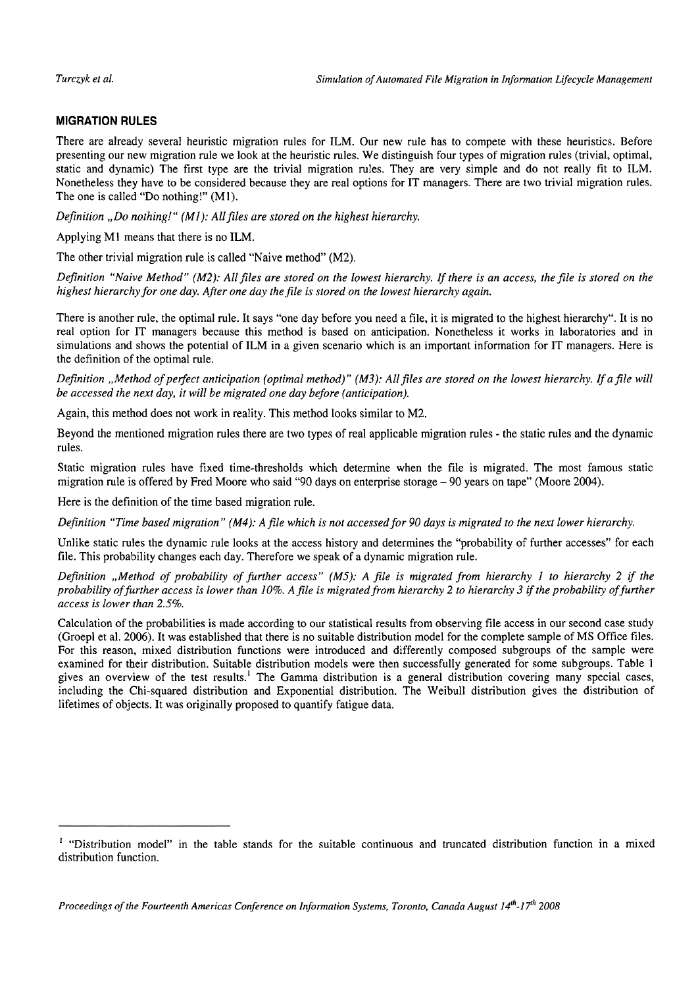# **MIGRATION RULES**

There are already several heuristic migration rules for ILM. Our new rule has to compete with these heuristics. Before presenting our new migration rule we look at the heuristic rules. We distinguish four types of migration rules (trivial, optimal, static and dynamic) The first type are the trivial migration rules. They are very simple and do not really fit to ILM. Nonetheless they have to be considered because they are real options for IT managers. There are two trivial migration rules. The one is called "Do nothing!" (Ml).

*Definition "Do nothing!" (M1): All files are stored on the highest hierarchy.* 

Applying M1 means that there is no ILM.

The other trivial migration rule is called "Naive method" (M2).

*Definition "Naive Method" (M2): All files are stored on the lowest hierarchy. If there is an access, the file is stored on the* highest hierarchy for one day. After one day the file is stored on the lowest hierarchy again.

There is another rule, the optimal rule. It says "one day before you need a file, it is migrated to the highest hierarchy". It is no real option for IT managers because this method is based on anticipation. Nonetheless it works in laboratories and in simulations and shows the potential of ILM in a given scenario which is an important information for IT managers. Here is the definition of the optimal rule.

*Definition "Method of perfect anticipation (optimal method)" (M3): All files are stored on the lowest hierarchy. If a file will be accessed the next day, it will be migrated one day before (anticipation).* 

Again, this method does not work in reality. This method looks similar to M2.

Beyond the mentioned migration rules there are two types of real applicable migration rules - the static rules and the dynamic rules.

Static migration rules have fixed time-thresholds which determine when the file is migrated. The most famous static migration rule is offered by Fred Moore who said "90 days on enterprise storage - 90 years on tape" (Moore 2004).

Here is the definition of the time based migration rule.

*Definition "Time based migration"* (M4): *Afile which is not accessed for 90 days is migrated to the next lower hierarchy.* 

Unlike static rules the dynamic rule looks at the access history and determines the "probability of further accesses" for each file. This probability changes each day. Therefore we speak of a dynamic migration rule.

*Definition "Method of probability of further access" (M5): A jile is migrated from hierarchy I to hierarchy 2 if the probability offurther access is lower than 10%. A file is migrated from hierarchy 2 to hierarchy 3 ifthe probability offurther access is lower than 2.5%.* 

Calculation of the probabilities is made according to our statistical results from observing file access in our second case study (Groepl et al. 2006). It was established that there is no suitable distribution model for the complete sample of MS Office files. For this reason, mixed distribution functions were introduced and differently composed subgroups of the sample were examined for their distribution. Suitable distribution models were then successfully generated for some subgroups. Table 1 gives an overview of the test results.' The Gamma distribution is a general distribution covering many special cases, including the Chi-squared distribution and Exponential distribution. The Weibull distribution gives the distribution of lifetimes of objects. It was originally proposed to quantify fatigue data.

<sup>&#</sup>x27; "Distribution model" in the table stands for the suitable continuous and truncated distribution function in a mixed distribution function.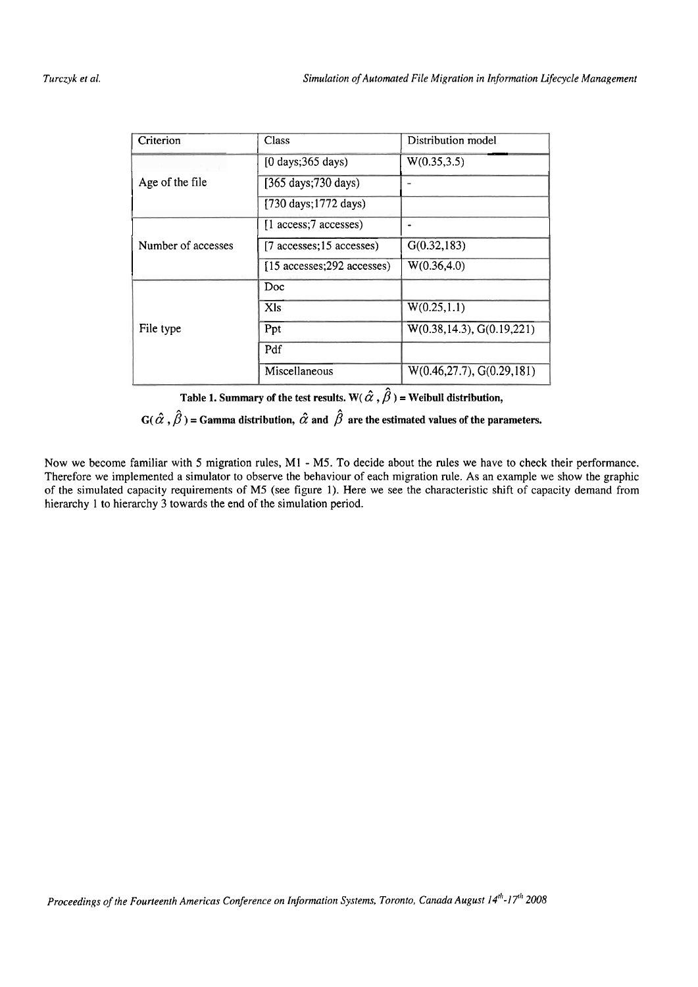| Criterion          | Class                                       | Distribution model          |  |  |
|--------------------|---------------------------------------------|-----------------------------|--|--|
|                    | $[0 \text{ days}; 365 \text{ days})$        | W(0.35, 3.5)                |  |  |
| Age of the file    | [365 days; 730 days)                        |                             |  |  |
|                    | [730 days; 1772 days)                       |                             |  |  |
| Number of accesses | [1 access;7 accesses)                       |                             |  |  |
|                    | $[7 \text{ accesses}; 15 \text{ accesses}]$ | G(0.32, 183)                |  |  |
|                    | [15 accesses; 292 accesses)                 | W(0.36, 4.0)                |  |  |
|                    | Doc                                         |                             |  |  |
|                    | X <sub>ls</sub>                             | W(0.25, 1.1)                |  |  |
| File type          | Ppt                                         | W(0.38, 14.3), G(0.19, 221) |  |  |
|                    | Pdf                                         |                             |  |  |
|                    | Miscellaneous                               | W(0.46, 27.7), G(0.29, 181) |  |  |

Table 1. Summary of the test results. W( $\hat{\alpha}$ ,  $\hat{\beta}$ ) = Weibull distribution,

 $\mathbf{G}(\hat{\alpha}$  ,  $\hat{\beta}$  ) = Gamma distribution,  $\hat{\alpha}$  and  $\hat{\beta}$  are the estimated values of the parameters.

Now we become familiar with 5 migration rules, M1 - M5. To decide about the rules we have to check their performance. Therefore we implemented a simulator to observe the behaviour of each migration rule. As an example we show the graphic of the simulated capacity requirements of M5 (see figure 1). Here we see the characteristic shift of capacity demand from hierarchy 1 to hierarchy 3 towards the end of the simulation period.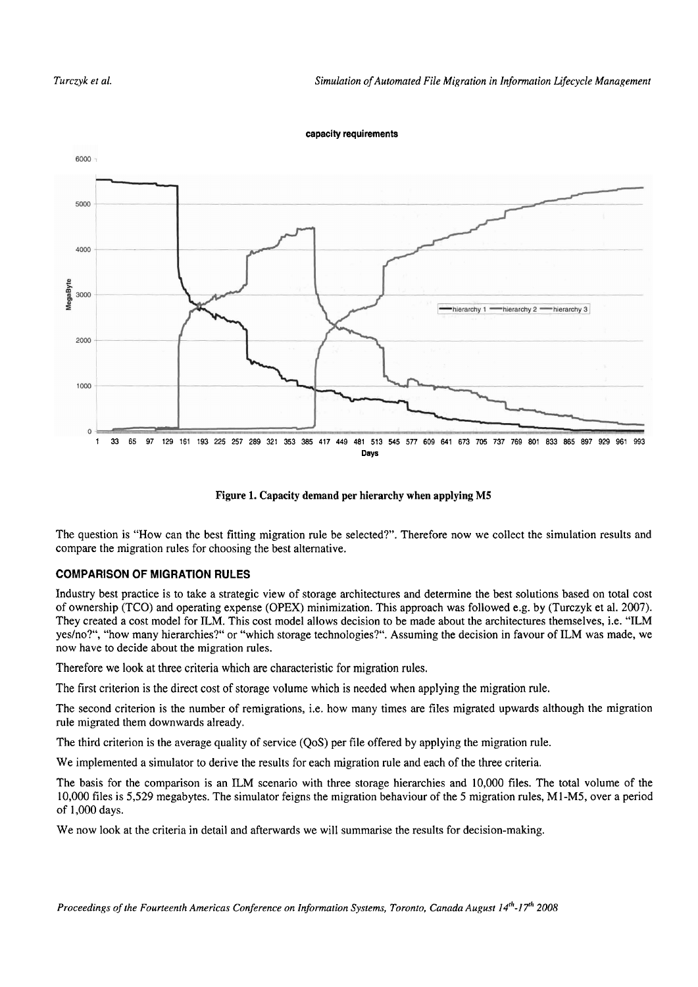#### **capacity requirements**



**Figure 1. Capacity demand per hierarchy when applying M5** 

The question is "How can the best fitting migration rule be selected?". Therefore now we collect the simulation results and compare the migration rules for choosing the best alternative.

# **COMPARISON OF MIGRATION RULES**

Industry best practice is to take a strategic view of storage architectures and determine the best solutions based on total cost of ownership (TCO) and operating expense (OPEX) minimization. This approach was followed e.g. by (Turczyk et al. 2007). They created a cost model for ILM. This cost model allows decision to be made about the architectures themselves, i.e. "ILM yeslno?", "how many hierarchies?" or "which storage technologies?". Assuming the decision in favour of ILM was made, we now have to decide about the migration rules.

Therefore we look at three criteria which are characteristic for migration rules.

The first criterion is the direct cost of storage volume which is needed when applying the migration rule.

The second criterion is the number of remigrations, i.e. how many times are files migrated upwards although the migration rule migrated them downwards already.

The third criterion is the average quality of service (QoS) per file offered by applying the migration rule.

We implemented a simulator to derive the results for each migration rule and each of the three criteria.

The basis for the comparison is an ILM scenario with three storage hierarchies and 10,000 files. The total volume of the 10,000 files is 5,529 megabytes. The simulator feigns the migration behaviour of the *5* migration rules, M1-M5, over a period of 1,000 days.

We now look at the criteria in detail and afterwards we will summarise the results for decision-making.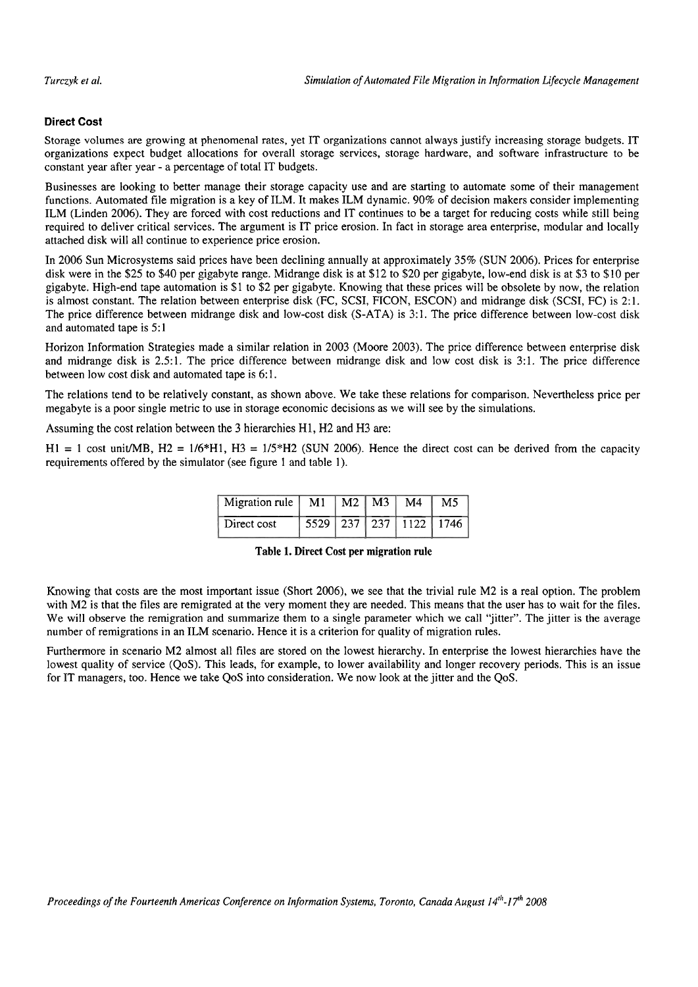# **Direct Cost**

Storage volumes are growing at phenomenal rates, yet IT organizations cannot always justify increasing storage budgets. IT organizations expect budget allocations for overall storage services, storage hardware, and software infrastructure to be constant year after year - a percentage of total IT budgets.

Businesses are looking to better manage their storage capacity use and are starting to automate some of their management functions. Automated file migration is a key of ILM. It makes ILM dynamic. 90% of decision makers consider implementing ILM (Linden 2006). They are forced with cost reductions and IT continues to be a target for reducing costs while still being required to deliver critical services. The argument is IT price erosion. In fact in storage area enterprise, modular and locally attached disk will all continue to experience price erosion.

In 2006 Sun Microsystems said prices have been declining annually at approximately 35% (SUN 2006). Prices for enterprise disk were in the \$25 to \$40 per gigabyte range. Midrange disk is at \$12 to \$20 per gigabyte, low-end disk is at \$3 to \$10 per gigabyte. High-end tape automation is \$1 to \$2 per gigabyte. Knowing that these prices will be obsolete by now, the relation is almost constant. The relation between enterprise disk (FC, SCSI, FICON, ESCON) and midrange disk (SCSI, FC) is 2: 1. The price difference between midrange disk and low-cost disk (S-ATA) is 3:1. The price difference between low-cost disk and automated tape is 5: 1

Horizon Information Strategies made a similar relation in 2003 (Moore 2003). The price difference between enterprise disk and midrange disk is 2.5:l. The price difference between midrange disk and low cost disk is 3:l. The price difference between low cost disk and automated tape is 6:1.

The relations tend to be relatively constant, as shown above. We take these relations for comparison. Nevertheless price per megabyte is a poor single metric to use in storage economic decisions as we will see by the simulations.

Assuming the cost relation between the 3 hierarchies H1, H2 and H3 are:

 $H1 = 1$  cost unit/MB,  $H2 = 1/6*H1$ ,  $H3 = 1/5*H2$  (SUN 2006). Hence the direct cost can be derived from the capacity requirements offered by the simulator (see figure 1 and table 1).

| Migration rule | M1 | M2   M3 | M <sub>4</sub>                 | M <sub>5</sub> |
|----------------|----|---------|--------------------------------|----------------|
| Direct cost    |    |         | 5529   237   237   1122   1746 |                |

Table 1. Direct Cost per migration rule

Knowing that costs are the most important issue (Short 2006), we see that the trivial rule M2 is a real option. The problem with M2 is that the files are remigrated at the very moment they are needed. This means that the user has to wait for the files. We will observe the remigration and summarize them to a single parameter which we call "jitter". The jitter is the average number of remigrations in an ILM scenario. Hence it is a criterion for quality of migration rules.

Furthermore in scenario M2 almost all files are stored on the lowest hierarchy. In enterprise the lowest hierarchies have the lowest quality of service (QoS). This leads, for example, to lower availability and longer recovery periods. This is an issue for IT managers, too. Hence we take QoS into consideration. We now look at the jitter and the QoS.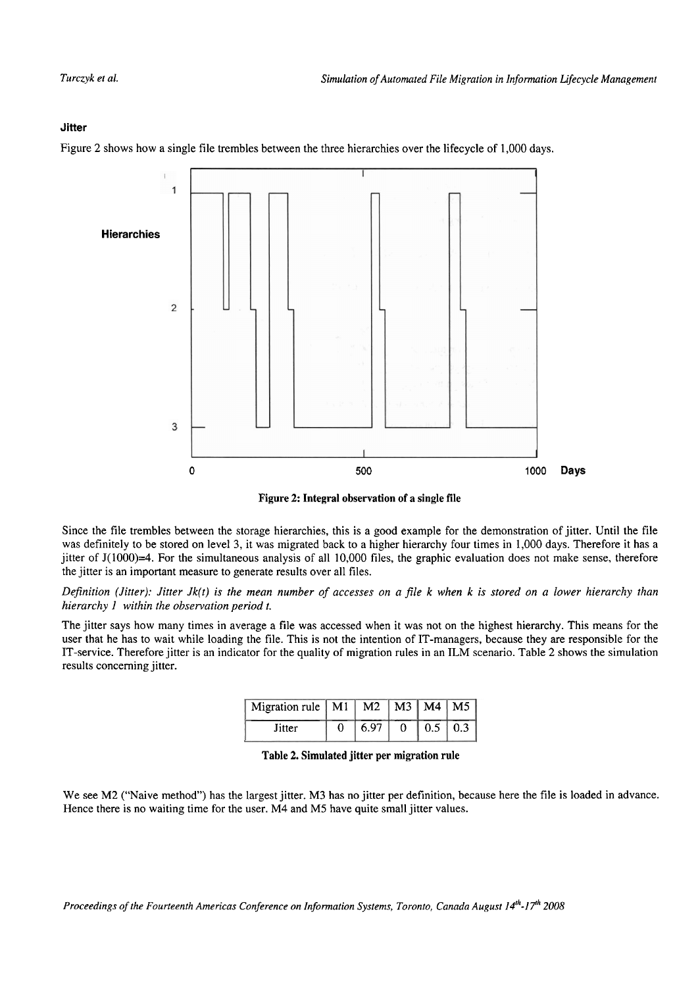#### **Jitter**

Figure **2** shows how a single file trembles between the three hierarchies over the lifecycle of 1,000 days.



**Figure 2: Integral observation of a single file** 

Since the file trernbles between the Storage hierarchies, this is a good example for the demonstration of jitter. Until the file was definitely to be stored on level 3, it was migrated back to a higher hierarchy four times in 1,000 days. Therefore it has a jitter of J(1000)=4. For the simultaneous analysis of all 10,000 files, the graphic evaluation does not make sense, therefore the jitter is an important measure to generate results over all files.

*Definition (Jitter): Jitter Jk(t) is the mean number of accesses on a file k when k is stored on a lower hierarchy than hierarchy I within the observation period t.* 

The jitter says how many times in average a file was accessed when it was not on the highest hierarchy. This means for the user that he has to wait while loading the file. This is not the intention of IT-managers, because they are responsible for the IT-service. Therefore jitter is an indicator for the quality of rnigration rules in an ILM scenario. Table 2 shows the simulation results concerning jitter.

| Migration rule   M1   $\overline{M2}$   M3   M4   M5 |                   |               |  |
|------------------------------------------------------|-------------------|---------------|--|
| Titter                                               | 6.97 <sub>1</sub> | $0.5 \pm 0.3$ |  |

**Table 2. Simulated jitter per migration rule** 

We see M2 ("Naive method") has the largest jitter. M3 has no jitter per definition, because here the file is loaded in advance. Hence there is no waiting time for the user. M4 and M5 have quite small jitter values.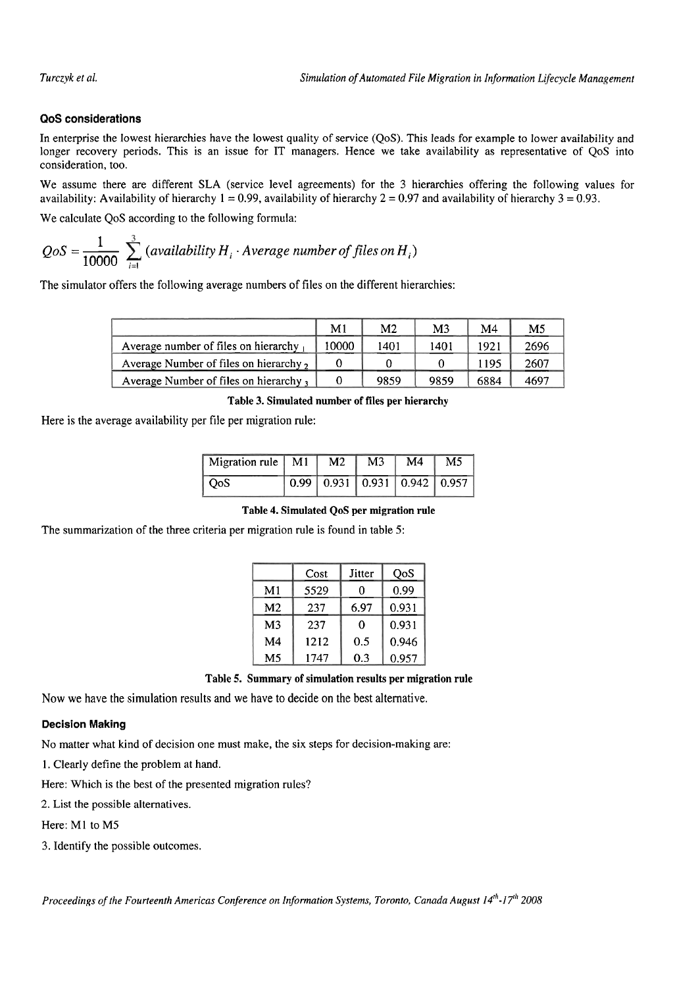# **QoS considerations**

In enterprise the Iowest hierarchies have the lowest quality of service (QoS). This leads for example to lower availability and longer recovery periods. This is an issue for IT managers. Hence we take availability as representative of QoS into consideration, too.

We assume there are different SLA (service level agreements) for the 3 hierarchies offering the following values for availability: Availability of hierarchy  $1 = 0.99$ , availability of hierarchy  $2 = 0.97$  and availability of hierarchy  $3 = 0.93$ .

We calculate QoS according to the following formula:

longer recovery periods. This is an issue for 11 managers. Hence we take consideration, too.  
We assume there are different SLA (service level agreements) for the 3 hie availability: Availableility of hierarchy 1 = 0.99, availability of hierarchy 2 = 0.97; We calculate QoS according to the following formula:  

$$
QoS = \frac{1}{10000} \sum_{i=1}^{3} (availableility H_i \cdot Average number of files on H_i)
$$

The simulator offers the following average numbers of files on the different hierarchies:

|                                       | M <sub>1</sub> | M <sub>2</sub> | M <sub>3</sub> | M <sub>4</sub> | M <sub>5</sub> |
|---------------------------------------|----------------|----------------|----------------|----------------|----------------|
| Average number of files on hierarchy  | 10000          | 1401           | 1401           | 1921           | 2696           |
| Average Number of files on hierarchy, |                |                |                | 1195           | 2607           |
| Average Number of files on hierarchy, |                | 9859           | 9859           | 6884           | 4697           |

**Table 3. Simulated number of files per hierarchy** 

Here is the average availability per file per migration rule:

| Migration rule $\boxed{M1}$ $\boxed{M2}$ |  | M3 | M4 | M <sub>5</sub>                                                                 |
|------------------------------------------|--|----|----|--------------------------------------------------------------------------------|
| O <sub>0</sub> S                         |  |    |    | $\boxed{0.99}$ $\boxed{0.931}$ $\boxed{0.931}$ $\boxed{0.942}$ $\boxed{0.957}$ |

# **Table 4. Simulated QoS per migration rule**

The summarization of the three criteria per migration rule is found in table 5:

|                | Cost | Jitter | OoS   |
|----------------|------|--------|-------|
| M1             | 5529 | 0      | 0.99  |
| M <sub>2</sub> | 237  | 6.97   | 0.931 |
| M <sub>3</sub> | 237  | 0      | 0.931 |
| M4             | 1212 | 0.5    | 0.946 |
| M <sub>5</sub> | 1747 | 0.3    | 0.957 |

**Table 5. Summary of simulation results per migration rule** 

Now we have the simulation results and we have to decide on the best alternative.

#### **Decision Making**

No matter what kind of decision one must make, the six steps for decision-making are:

1. Clearly define the problem at hand.

Here: Which is the best of the presented migration rules?

2. List the possible alternatives.

Here: M1 to M5

3. Identify the possible outcomes.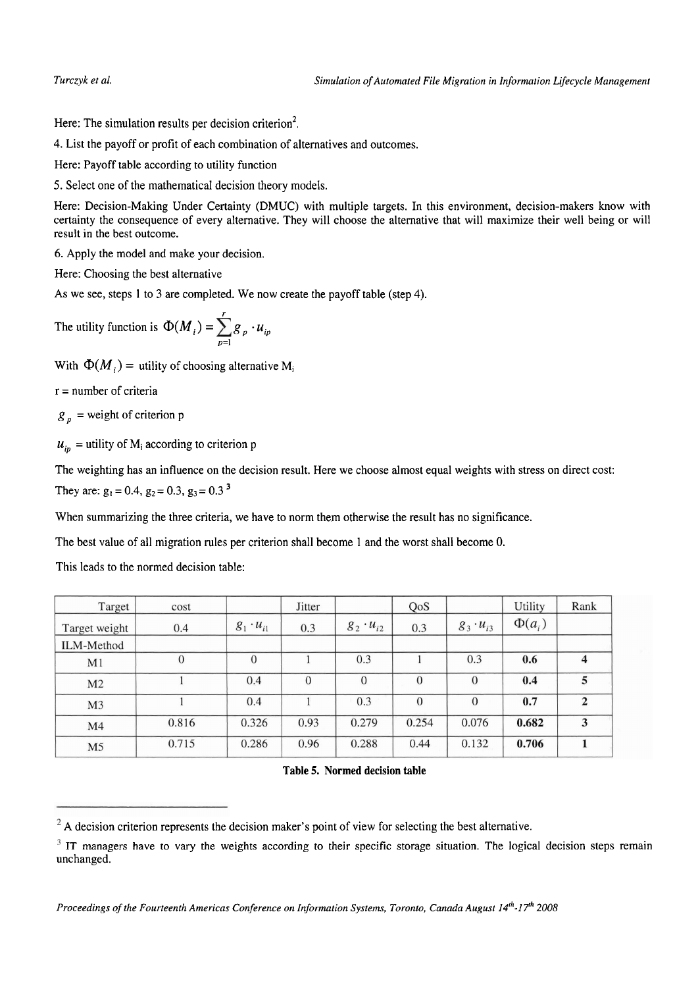Here: The simulation results per decision criterion<sup>2</sup>.

4. List the payoff or profit of each combination of alternatives and outcomes.

Here: Payoff table according to utility function

5. Select one of the mathematical decision theory models.

Here: Decision-Making Under Certainty (DMUC) with multiple targets. In this environment, decision-makers know with certainty the consequence of every alternative. They will choose the alternative that will maximize their well being or will result in the best outcome.

*6.* Apply the model and make your decision.

Here: Choosing the best alternative

As we see, steps 1 to 3 are completed. We now create the payoff table (step 4).

The utility function is 
$$
\Phi(M_i) = \sum_{p=1}^{r} g_p \cdot u_{ip}
$$

With  $\Phi(M_i)$  = utility of choosing alternative M<sub>i</sub>

 $r =$  number of criteria

 $g<sub>n</sub>$  = weight of criterion p

 $u_{in}$  = utility of M<sub>i</sub> according to criterion p

The weighting has an influence on the decision result. Here we choose almost equal weights with Stress on direct cost: They are:  $g_1 = 0.4$ ,  $g_2 = 0.3$ ,  $g_3 = 0.3$ <sup>3</sup>

When summarizing the three criteria, we have to norm them otherwise the result has no significance.

The best value of all migration rules per criterion shall become 1 and the worst shall become 0.

This leads to the normed decision table:

| Target         | cost     |                    | Jitter   |                    | QoS            |                    | Utility     | Rank           |
|----------------|----------|--------------------|----------|--------------------|----------------|--------------------|-------------|----------------|
| Target weight  | 0.4      | $g_1 \cdot u_{i1}$ | 0.3      | $g_2 \cdot u_{i2}$ | 0.3            | $g_3 \cdot u_{i3}$ | $\Phi(a_i)$ |                |
| ILM-Method     |          |                    |          |                    |                |                    |             |                |
| M <sub>1</sub> | $\theta$ | $\theta$           |          | 0.3                |                | 0.3                | 0.6         | 4              |
| M <sub>2</sub> |          | 0.4                | $\theta$ | $\theta$           | $\overline{0}$ | $\overline{0}$     | 0.4         | 5              |
| M <sub>3</sub> |          | 0.4                |          | 0.3                | $\theta$       | $\mathbf{0}$       | 0.7         | $\overline{2}$ |
| M <sub>4</sub> | 0.816    | 0.326              | 0.93     | 0.279              | 0.254          | 0.076              | 0.682       | 3              |
| M <sub>5</sub> | 0.715    | 0.286              | 0.96     | 0.288              | 0.44           | 0.132              | 0.706       |                |

**Table 5. Normed decision table** 

*Proceedings of the Fourteenth Americns Conference on Information Systems, Toronto, Canada August 14'"-I* **Th** *2008* 

<sup>&</sup>lt;sup>2</sup> A decision criterion represents the decision maker's point of view for selecting the best alternative.

 $3$  IT managers have to vary the weights according to their specific storage situation. The logical decision steps remain unchanged.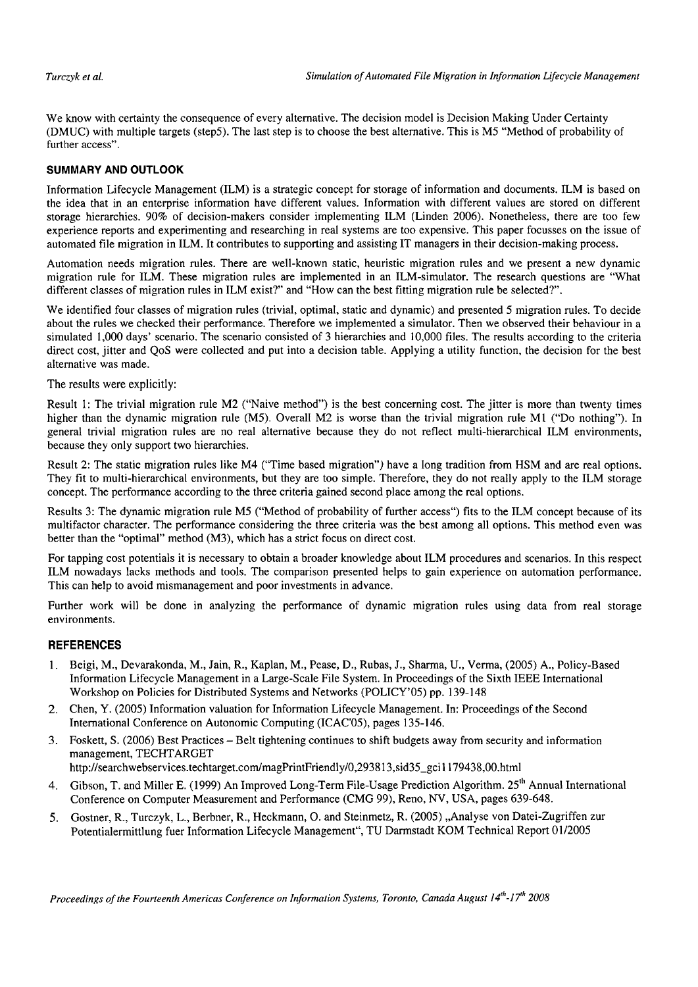We know with certainty the consequence of every alternative. The decision model is Decision Making Under Certainty (DMUC) with multiple targets (step5). The last step is to choose the best alternative. This is M5 "Method of probability of further access".

#### **SUMMARY AND OUTLOOK**

Information Lifecycle Management (ILM) is a strategic concept for storage of information and documents. ILM is based on the idea that in an enterprise information have different values. Information with different values are stored on different storage hierarchies. 90% of decision-makers consider implementing iLM (Linden 2006). Nonetheless, there are too few experience reports and experimenting and researching in real Systems are too expensive. This paper focusses on the issue of automated file migration in ILM. It contributes to supporting and assisting IT managers in their decision-making process.

Automation needs migration rules. There are well-known static, heuristic migration rules and we present a new dynamic migration mle for ILM. These migration rules are implemented in an ILM-simulator. The research questions are "What different classes of migration rules in ILM exist?" and "How can the best fitting migration rule be selected?".

We identified four classes of migration rules (trivial, optimal, static and dynamic) and presented 5 migration rules. To decide about the rules we checked their performance. Therefore we implemented a simulator. Then we observed their behaviour in a simulated 1,000 days' scenario. The scenario consisted of 3 hierarchies and 10,000 files. The results according to the criteria direct cost, jitter and QoS were collected and put into a decision table. Applying a utility function, the decision for the best alternative was made.

The results were explicitly:

Result 1: The trivial migration rule M2 ("Naive method") is the best concerning cost. The jitter is more than twenty times higher than the dynamic migration rule (M5). Overall M2 is worse than the trivial migration rule M1 ("Do nothing"). In general trivial migration rules are no real alternative because they do not reflect multi-hierarchical ILM environments, because they only support two hierarchies.

Result 2: The static migration mles like M4 ("Time based migration") have a long tradition from HSM and are real options. They fit to multi-hierarchical environments, but they are too simple. Therefore, they do not really apply to the ILM storage concept. The performance according to the three criteria gained second place among the real options.

Results 3: The dynamic migration rule M5 ("Method of probability of further access") fits to the ILM concept because of its multifactor character. The performance considering the three criteria was the best among all options. This method even was better than the "optimal" method (M3), which has a strict focus on direct cost.

For tapping cost potentials it is necessary to obtain a broader knowledge about ILM procedures and scenarios. In this respect ILM nowadays lacks methods and tools. The comparison presented helps to gain experience on automation performance. This can help to avoid mismanagement and poor investments in advance.

Further work will be done in analyzing the performance of dynamic migration rules using data from real storage environments.

#### **REFERENCES**

- 1. Beigi, M., Devarakonda, M., Jain, R., Kaplan, M., Pease, D., Rubas, J., Sharma, U., Verma, (2005) A., Policy-Based Information Lifecycle Management in a Large-Scale File System. In Proceedings of the Sixth EEE International Workshop on Policies for Distributed Systems and Networks (POLICY'OS) pp. 139-148
- 2. Chen, Y. (2005) Information valuation for Information Lifecycle Management. In: Proceedings of the Second International Conference on Autonomic Computing (ICAC'05), pages 135-146.
- **3.** Foskett, S. (2006) Best Practices Belt tightening continues to shift budgets away from security and information management, TECHTARGET

**http:l/searchwebservices.techtarget.com/magPrintFriendlyl0,293813,sid35~gci** 1 179438,OO.html

- 4. Gibson, T. and Miller E. (1999) An Improved Long-Term File-Usage Prediction Algorithm. 25<sup>th</sup> Annual International Conference on Computer Measurement and Performance (CMG 99), Reno, NV, USA, pages 639-648.
- **5.** Gostner, R., Turczyk, L., Berbner, R., Heckmann, 0. and Steinmetz, R. (2005) ,,Analyse von Datei-Zugriffen zur Potentialermittlung fuer Information Lifecycle Management", TU Darmstadt KOM Technical Report 0112005